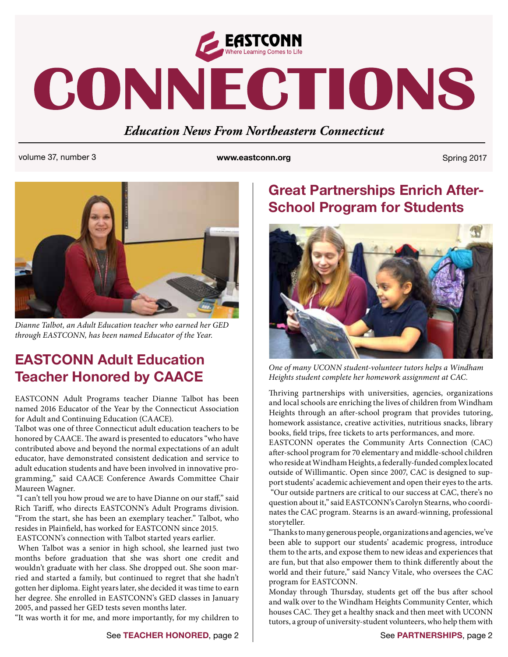

# CONNECTIONS

#### *Education News From Northeastern Connecticut*

volume 37, number 3 **www.eastconn.org www.eastconn.org** Spring 2017



*Dianne Talbot, an Adult Education teacher who earned her GED through EASTCONN, has been named Educator of the Year.* 

## **EASTCONN Adult Education Teacher Honored by CAACE**

EASTCONN Adult Programs teacher Dianne Talbot has been named 2016 Educator of the Year by the Connecticut Association for Adult and Continuing Education (CAACE).

Talbot was one of three Connecticut adult education teachers to be honored by CAACE. The award is presented to educators "who have contributed above and beyond the normal expectations of an adult educator, have demonstrated consistent dedication and service to adult education students and have been involved in innovative programming," said CAACE Conference Awards Committee Chair Maureen Wagner.

"I can't tell you how proud we are to have Dianne on our staff," said Rich Tariff, who directs EASTCONN's Adult Programs division. "From the start, she has been an exemplary teacher." Talbot, who resides in Plainfield, has worked for EASTCONN since 2015.

EASTCONN's connection with Talbot started years earlier.

 When Talbot was a senior in high school, she learned just two months before graduation that she was short one credit and wouldn't graduate with her class. She dropped out. She soon married and started a family, but continued to regret that she hadn't gotten her diploma. Eight years later, she decided it was time to earn her degree. She enrolled in EASTCONN's GED classes in January 2005, and passed her GED tests seven months later.

"It was worth it for me, and more importantly, for my children to

## **Great Partnerships Enrich After-School Program for Students**



*One of many UCONN student-volunteer tutors helps a Windham Heights student complete her homework assignment at CAC.*

Thriving partnerships with universities, agencies, organizations and local schools are enriching the lives of children from Windham Heights through an after-school program that provides tutoring, homework assistance, creative activities, nutritious snacks, library books, field trips, free tickets to arts performances, and more.

EASTCONN operates the Community Arts Connection (CAC) after-school program for 70 elementary and middle-school children who reside at Windham Heights, a federally-funded complex located outside of Willimantic. Open since 2007, CAC is designed to support students' academic achievement and open their eyes to the arts. "Our outside partners are critical to our success at CAC, there's no question about it," said EASTCONN's Carolyn Stearns, who coordinates the CAC program. Stearns is an award-winning, professional storyteller.

"Thanks to many generous people, organizations and agencies, we've been able to support our students' academic progress, introduce them to the arts, and expose them to new ideas and experiences that are fun, but that also empower them to think differently about the world and their future," said Nancy Vitale, who oversees the CAC program for EASTCONN.

Monday through Thursday, students get off the bus after school and walk over to the Windham Heights Community Center, which houses CAC. They get a healthy snack and then meet with UCONN tutors, a group of university-student volunteers, who help them with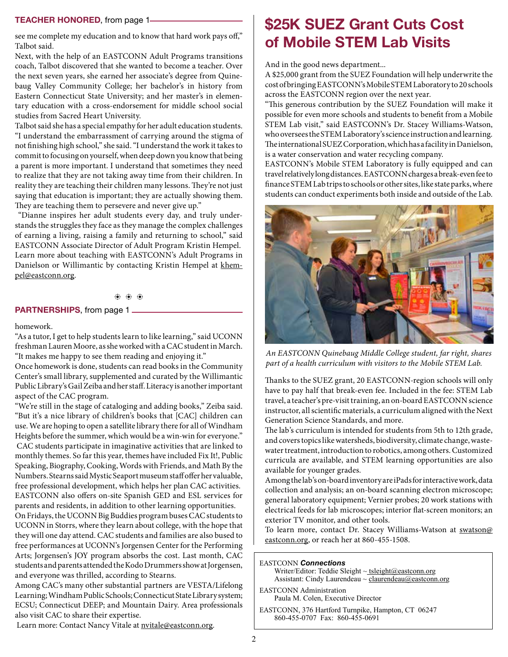#### **TEACHER HONORED**, from page 1

see me complete my education and to know that hard work pays off," Talbot said.

Next, with the help of an EASTCONN Adult Programs transitions coach, Talbot discovered that she wanted to become a teacher. Over the next seven years, she earned her associate's degree from Quinebaug Valley Community College; her bachelor's in history from Eastern Connecticut State University; and her master's in elementary education with a cross-endorsement for middle school social studies from Sacred Heart University.

Talbot said she has a special empathy for her adult education students. "I understand the embarrassment of carrying around the stigma of not finishing high school," she said. "I understand the work it takes to commit to focusing on yourself, when deep down you know that being a parent is more important. I understand that sometimes they need to realize that they are not taking away time from their children. In reality they are teaching their children many lessons. They're not just saying that education is important; they are actually showing them. They are teaching them to persevere and never give up."

 "Dianne inspires her adult students every day, and truly understands the struggles they face as they manage the complex challenges of earning a living, raising a family and returning to school," said EASTCONN Associate Director of Adult Program Kristin Hempel. Learn more about teaching with EASTCONN's Adult Programs in Danielson or Willimantic by contacting Kristin Hempel at [khem](mailto:khempel@eastconn.org)[pel@eastconn.org.](mailto:khempel@eastconn.org)

#### b b b

#### **PARTNERSHIPS**, from page 1

#### homework.

"As a tutor, I get to help students learn to like learning," said UCONN freshman Lauren Moore, as she worked with a CAC student in March. "It makes me happy to see them reading and enjoying it."

Once homework is done, students can read books in the Community Center's small library, supplemented and curated by the Willimantic Public Library's Gail Zeiba and her staff. Literacy is another important aspect of the CAC program.

"We're still in the stage of cataloging and adding books," Zeiba said. "But it's a nice library of children's books that [CAC] children can use. We are hoping to open a satellite library there for all of Windham Heights before the summer, which would be a win-win for everyone." CAC students participate in imaginative activities that are linked to monthly themes. So far this year, themes have included Fix It!, Public Speaking, Biography, Cooking, Words with Friends, and Math By the Numbers. Stearns said Mystic Seaport museum staff offer her valuable, free professional development, which helps her plan CAC activities. EASTCONN also offers on-site Spanish GED and ESL services for parents and residents, in addition to other learning opportunities.

On Fridays, the UCONN Big Buddies program buses CAC students to UCONN in Storrs, where they learn about college, with the hope that they will one day attend. CAC students and families are also bused to free performances at UCONN's Jorgensen Center for the Performing Arts; Jorgensen's JOY program absorbs the cost. Last month, CAC students and parents attended the Kodo Drummers show at Jorgensen, and everyone was thrilled, according to Stearns.

Among CAC's many other substantial partners are VESTA/Lifelong Learning; Windham Public Schools; Connecticut State Library system; ECSU; Connecticut DEEP; and Mountain Dairy. Area professionals also visit CAC to share their expertise.

Learn more: Contact Nancy Vitale at nvitale@eastconn.org.

## **\$25K SUEZ Grant Cuts Cost of Mobile STEM Lab Visits**

And in the good news department...

A \$25,000 grant from the SUEZ Foundation will help underwrite the cost of bringing EASTCONN's Mobile STEM Laboratory to 20 schools across the EASTCONN region over the next year.

"This generous contribution by the SUEZ Foundation will make it possible for even more schools and students to benefit from a Mobile STEM Lab visit," said EASTCONN's Dr. Stacey Williams-Watson, who oversees the STEM Laboratory's science instruction and learning. The international SUEZ Corporation, which has a facility in Danielson, is a water conservation and water recycling company.

EASTCONN's Mobile STEM Laboratory is fully equipped and can travel relatively long distances. EASTCONN charges a break-even fee to finance STEM Lab trips to schools or other sites, like state parks, where students can conduct experiments both inside and outside of the Lab.



*An EASTCONN Quinebaug Middle College student, far right, shares part of a health curriculum with visitors to the Mobile STEM Lab.* 

Thanks to the SUEZ grant, 20 EASTCONN-region schools will only have to pay half that break-even fee. Included in the fee: STEM Lab travel, a teacher's pre-visit training, an on-board EASTCONN science instructor, all scientific materials, a curriculum aligned with the Next Generation Science Standards, and more.

The lab's curriculum is intended for students from 5th to 12th grade, and covers topics like watersheds, biodiversity, climate change, wastewater treatment, introduction to robotics, among others. Customized curricula are available, and STEM learning opportunities are also available for younger grades.

Among the lab's on-board inventory are iPads for interactive work, data collection and analysis; an on-board scanning electron microscope; general laboratory equipment; Vernier probes; 20 work stations with electrical feeds for lab microscopes; interior flat-screen monitors; an exterior TV monitor, and other tools.

To learn more, contact Dr. Stacey Williams-Watson at [swatson@](mailto:swatson@eastconn.org) [eastconn.org,](mailto:swatson@eastconn.org) or reach her at 860-455-1508.

EASTCONN *Connections*  Writer/Editor: Teddie Sleight ~ tsleigh[t@eastconn.org](mailto:tsleight@eastconn.org) Assistant: Cindy Laurendeau ~ [claurendeau@eastconn.org](mailto:claurendeau@eastconn.org)

EASTCONN Administration Paula M. Colen, Executive Director

EASTCONN, 376 Hartford Turnpike, Hampton, CT 06247 860-455-0707 Fax: 860-455-0691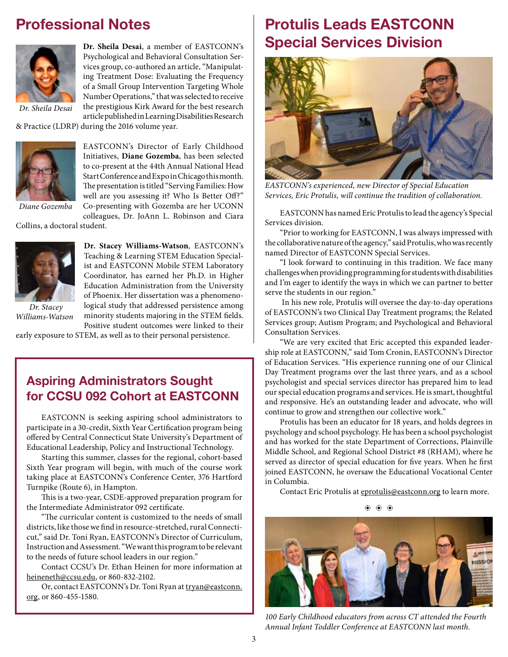## **Professional Notes**



**Dr. Sheila Desai**, a member of EASTCONN's Psychological and Behavioral Consultation Services group, co-authored an article, "Manipulating Treatment Dose: Evaluating the Frequency of a Small Group Intervention Targeting Whole Number Operations," that was selected to receive the prestigious Kirk Award for the best research article published in Learning Disabilities Research

*Dr. Sheila Desai*

& Practice (LDRP) during the 2016 volume year.



EASTCONN's Director of Early Childhood Initiatives, **Diane Gozemba**, has been selected to co-present at the 44th Annual National Head Start Conference and Expo in Chicago this month. The presentation is titled "Serving Families: How well are you assessing it? Who Is Better Off?" Co-presenting with Gozemba are her UCONN colleagues, Dr. JoAnn L. Robinson and Ciara

*Diane Gozemba*

Collins, a doctoral student.



*Williams-Watson*

**Dr. Stacey Williams-Watson**, EASTCONN's Teaching & Learning STEM Education Specialist and EASTCONN Mobile STEM Laboratory Coordinator, has earned her Ph.D. in Higher Education Administration from the University of Phoenix. Her dissertation was a phenomenological study that addressed persistence among minority students majoring in the STEM fields. Positive student outcomes were linked to their

early exposure to STEM, as well as to their personal persistence.

#### **Aspiring Administrators Sought for CCSU 092 Cohort at EASTCONN**

EASTCONN is seeking aspiring school administrators to participate in a 30-credit, Sixth Year Certification program being offered by Central Connecticut State University's Department of Educational Leadership, Policy and Instructional Technology.

 Starting this summer, classes for the regional, cohort-based Sixth Year program will begin, with much of the course work taking place at EASTCONN's Conference Center, 376 Hartford Turnpike (Route 6), in Hampton.

This is a two-year, CSDE-approved preparation program for the Intermediate Administrator 092 certificate.

"The curricular content is customized to the needs of small districts, like those we find in resource-stretched, rural Connecticut," said Dr. Toni Ryan, EASTCONN's Director of Curriculum, Instruction and Assessment. "We want this program to be relevant to the needs of future school leaders in our region."

Contact CCSU's Dr. Ethan Heinen for more information at [heineneth@ccsu.edu](mailto:heineneth@ccsu.edu), or 860-832-2102.

Or, contact EASTCONN's Dr. Toni Ryan at [tryan@eastconn.](mailto:tryan@eastconn.org) [org,](mailto:tryan@eastconn.org) or 860-455-1580.

## **Protulis Leads EASTCONN Special Services Division**



*EASTCONN's experienced, new Director of Special Education Services, Eric Protulis, will continue the tradition of collaboration.* 

EASTCONN has named Eric Protulis to lead the agency's Special Services division.

"Prior to working for EASTCONN, I was always impressed with the collaborative nature of the agency," said Protulis, who was recently named Director of EASTCONN Special Services.

"I look forward to continuing in this tradition. We face many challenges when providing programming for students with disabilities and I'm eager to identify the ways in which we can partner to better serve the students in our region."

In his new role, Protulis will oversee the day-to-day operations of EASTCONN's two Clinical Day Treatment programs; the Related Services group; Autism Program; and Psychological and Behavioral Consultation Services.

"We are very excited that Eric accepted this expanded leadership role at EASTCONN," said Tom Cronin, EASTCONN's Director of Education Services. "His experience running one of our Clinical Day Treatment programs over the last three years, and as a school psychologist and special services director has prepared him to lead our special education programs and services. He is smart, thoughtful and responsive. He's an outstanding leader and advocate, who will continue to grow and strengthen our collective work."

Protulis has been an educator for 18 years, and holds degrees in psychology and school psychology. He has been a school psychologist and has worked for the state Department of Corrections, Plainville Middle School, and Regional School District #8 (RHAM), where he served as director of special education for five years. When he first joined EASTCONN, he oversaw the Educational Vocational Center in Columbia.

Contact Eric Protulis at [eprotulis@eastconn.org](mailto:eprotulis@eastconn.org) to learn more.

b b b



*100 Early Childhood educators from across CT attended the Fourth Annual Infant Toddler Conference at EASTCONN last month.*